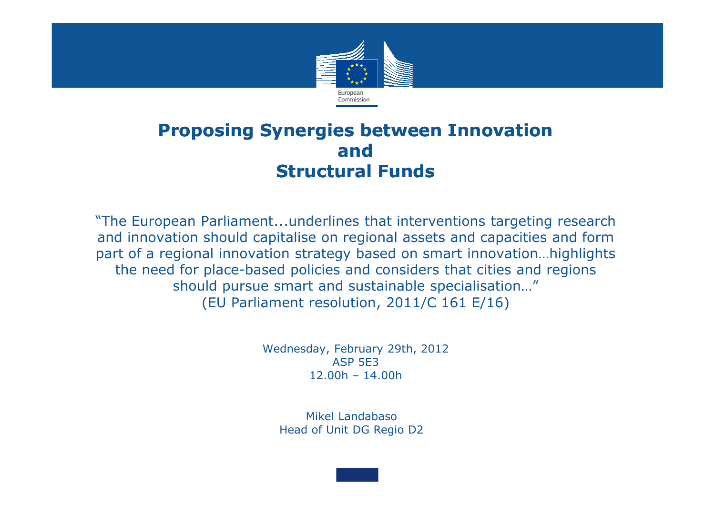

#### **Proposing Synergies between Innovation and Structural Funds**

"The European Parliament...underlines that interventions targeting research and innovation should capitalise on regional assets and capacities and form part of a regional innovation strategy based on smart innovation…highlights the need for place-based policies and considers that cities and regions should pursue smart and sustainable specialisation…" (EU Parliament resolution, 2011/C 161 E/16)

> Wednesday, February 29th, 2012ASP 5E312.00h – 14.00h

Mikel LandabasoHead of Unit DG Regio D2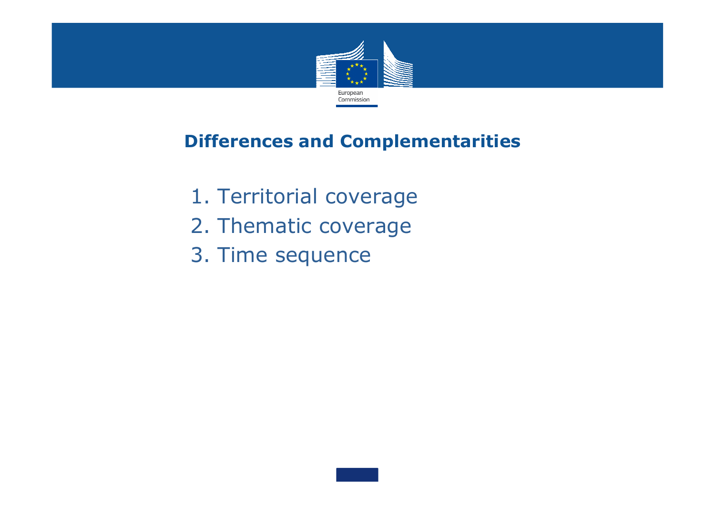

#### **Differences and Complementarities**

- 1. Territorial coverage
- 2. Thematic coverage
- 3. Time sequence

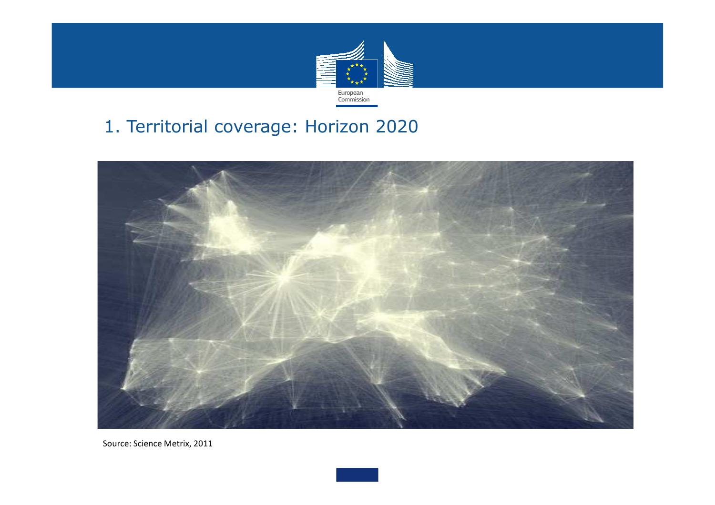

### 1. Territorial coverage: Horizon 2020



Source: Science Metrix, 2011

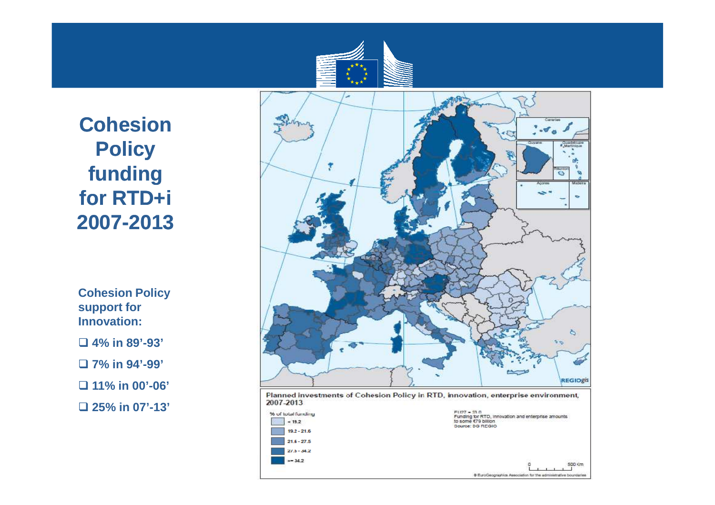

 $21.6 - 27.5$  $27.5 - 34.2$  $\ge$  34.2

**Cohesion Policy funding for RTD+i2007-2013**

**Cohesion Policy support for Innovation:**

**4% in 89'-93'** 

**7% in 94'-99'** 

**11% in 00'-06'** 

**25% in 07'-13'**



500 Km

C EuroGeographics Association for the administrative boundaries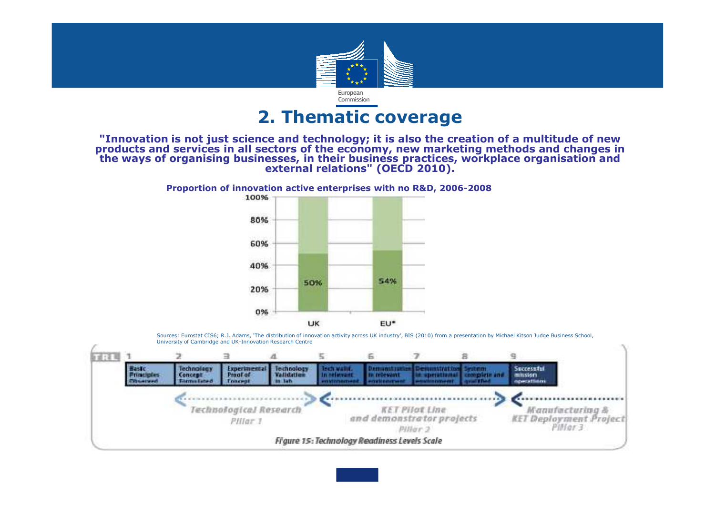

#### **2. Thematic coverage**

#### "Innovation is not just science and technology; it is also the creation of a multitude of new products and services in all sectors of the economy, new marketing methods and changes in<br>the ways of organising businesses, in their business practices, workplace organisation and<br>external relations" (OECD 2010).





Sources: Eurostat CIS6; R.J. Adams, 'The distribution of innovation activity across UK industry', BIS (2010) from a presentation by Michael Kitson Judge Business School, University of Cambridge and UK-Innovation Research Centre

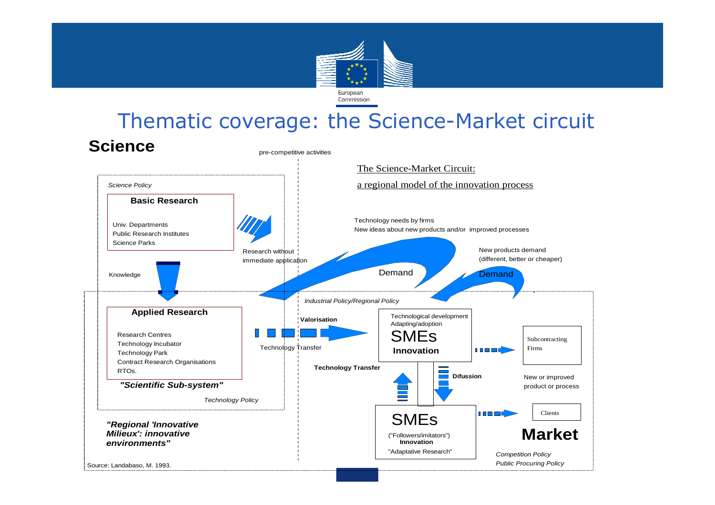

# Thematic coverage: the Science-Market circuit

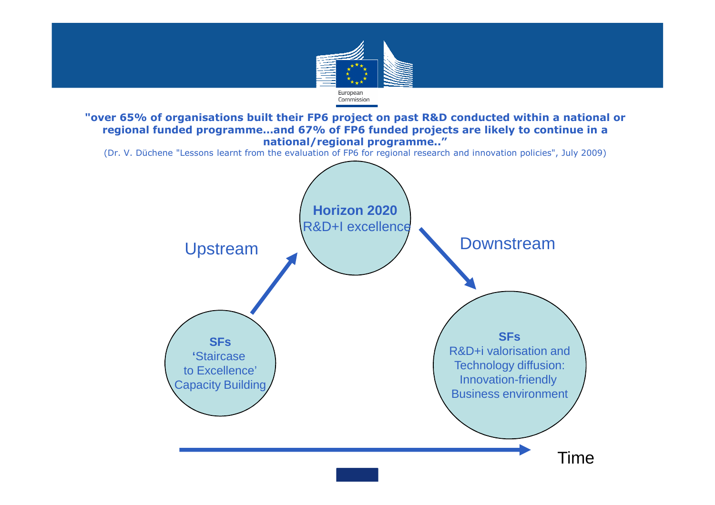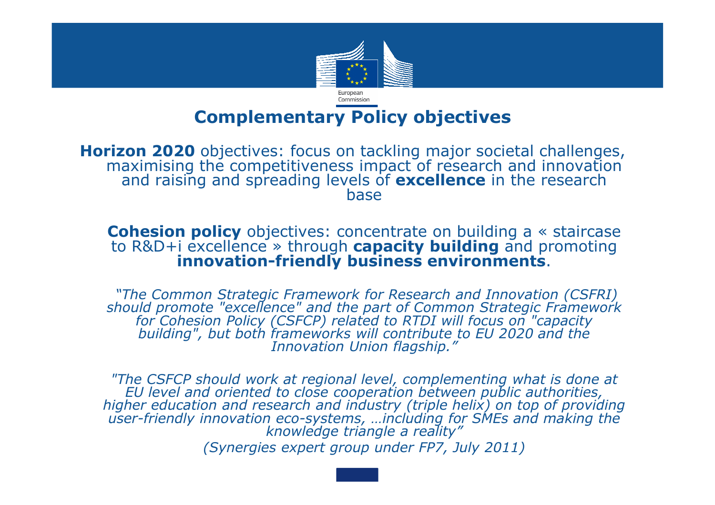

## **Complementary Policy objectives**

Horizon 2020 objectives: focus on tackling major societal challenges, maximising the competitiveness impact of research and innovation<br>and raising and spreading levels of **excellence** in the research and raising and spreading levels of **excellence** in the research

**Cohesion policy** objectives: concentrate on building a « staircase to R&D+i excellence » through **capacity building** and promoting » through **capacity building** and promoting **innovation-friendly business environments**.

"The Common Strategic Framework for Research and Innovation (CSFRI)<br>should promote "excellence" and the part of Common Strategic Framework<br>for Cohesion Policy (CSFCP) related to RTDI will focus on "capacity<br>building", but

 *"The CSFCP should work at regional level, complementing what is done at EU level and oriented to close cooperation between public authorities, higher education and research and industry (triple helix) on top of providing user-friendly innovation eco-systems, …including for SMEs and making the knowledge triangle a reality"(Synergies expert group under FP7, July 2011)*

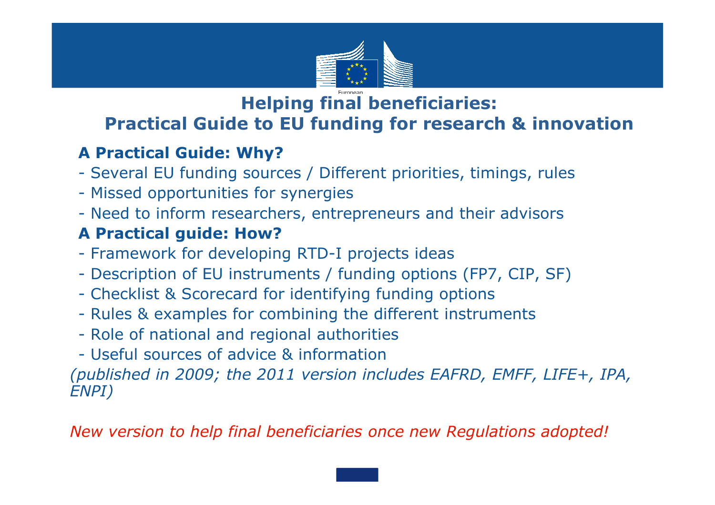

#### **Helping final beneficiaries:Practical Guide to EU funding for research & innovation**

#### •**A Practical Guide: Why?**

- •- Several EU funding sources / Different priorities, timings, rules
- •- Missed opportunities for synergies
- Need to inform researchers, entrepreneurs and their advisors<br> **A Bractical quide: How?**

#### •**A Practical guide: How?**

- Framework for developing RTD-I projects ideas
- •- Description of EU instruments / funding options (FP7, CIP, SF)
- Checklist & Scorecard for identifying funding options<br>• Pules & examples for combining the different instrum
- •- Rules & examples for combining the different instruments
- Role of national and regional authorities
- Useful sources of advice & information<br>Coublished in 2009; the 2011 version inc

*(published in 2009; the 2011 version includes EAFRD, EMFF, LIFE+, IPA, ENPI)*

*New version to help final beneficiaries once new Regulations adopted!*

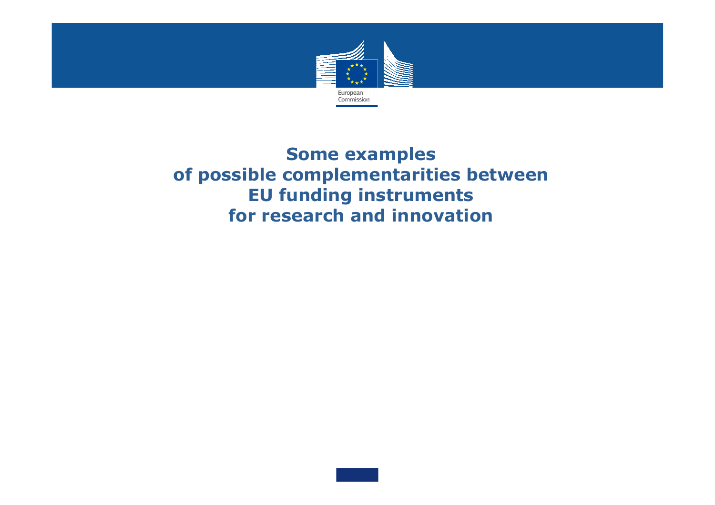

**Some examples of possible complementarities between EU funding instruments for research and innovation**

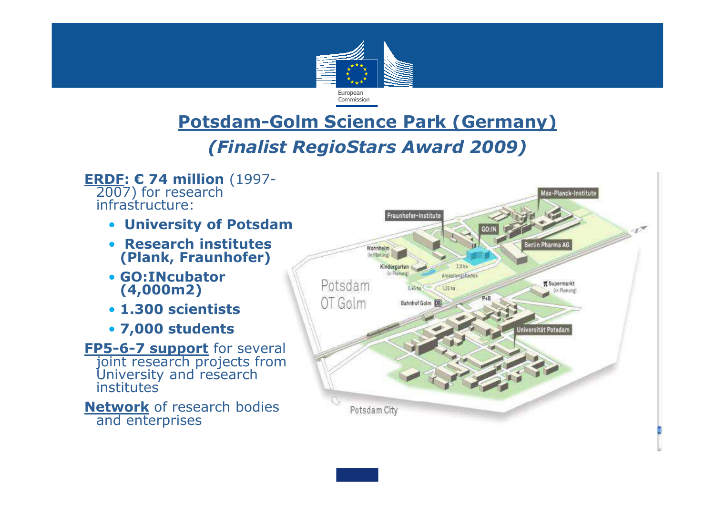

## **Potsdam-Golm Science Park (Germany)**

#### *(Finalist RegioStars Award 2009)*

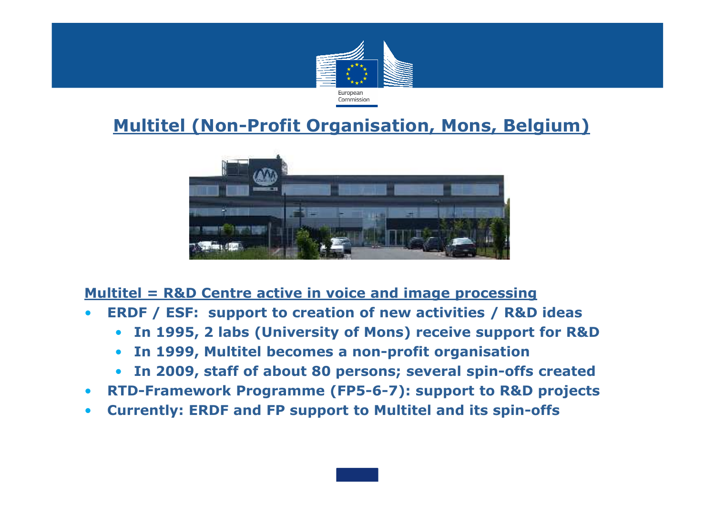

### **Multitel (Non-Profit Organisation, Mons, Belgium)**



#### **Multitel = R&D Centre active in voice and image processing**

- **ERDF / ESF: support to creation of new activities / R&D ideas**•
	- **In 1995, 2 labs (University of Mons) receive support for R&D**
	- **In 1999, Multitel becomes a non-profit organisation**
	- **In 2009, staff of about 80 persons; several spin-offs created**
- **RTD-Framework Programme (FP5-6-7): support to R&D projects**
- •**Currently: ERDF and FP support to Multitel and its spin-offs**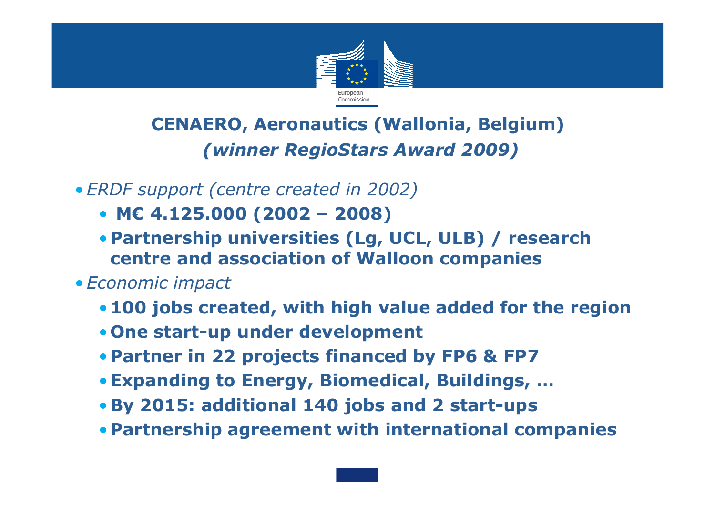

## **CENAERO, Aeronautics (Wallonia, Belgium)***(winner RegioStars Award 2009)*

•*ERDF support (centre created in 2002)*

- **M€ 4.125.000 (2002 – 2008)**
- **Partnership universities (Lg, UCL, ULB) / research centre and association of Walloon companies**
- •*Economic impact*
	- **100 jobs created, with high value added for the region**
	- **One start-up under development**
	- **Partner in 22 projects financed by FP6 & FP7**
	- •**Expanding to Energy, Biomedical, Buildings, …**
	- •**By 2015: additional 140 jobs and 2 start-ups**
	- **Partnership agreement with international companies**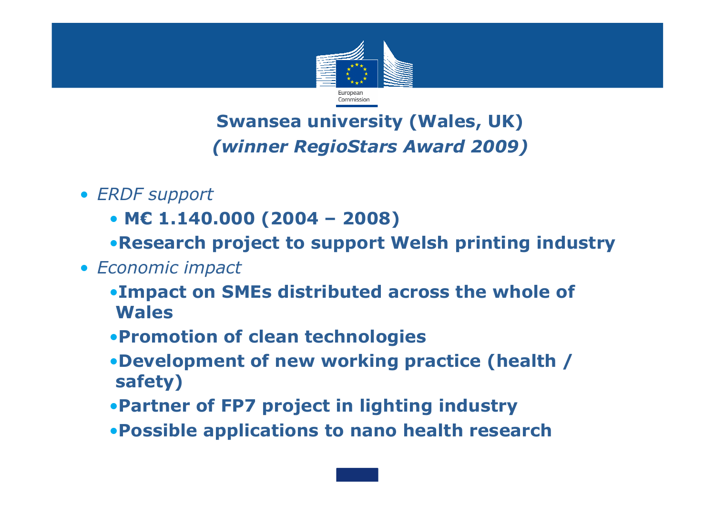

# **Swansea university (Wales, UK)***(winner RegioStars Award 2009)*

- *ERDF support*
	- **M€ 1.140.000 (2004 – 2008)**
	- •**Research project to support Welsh printing industry**
- *Economic impact*
	- •**Impact on SMEs distributed across the whole of Wales**
	- •**Promotion of clean technologies**
	- •**Development of new working practice (health / safety)**
	- •**Partner of FP7 project in lighting industry**
	- •**Possible applications to nano health research**